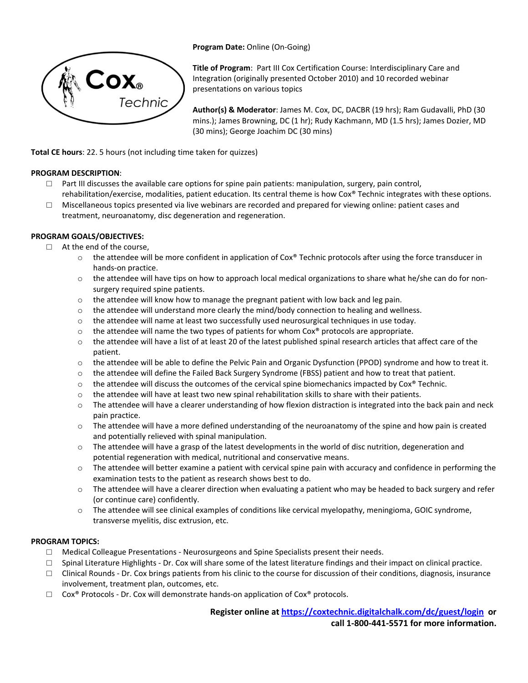



**Title of Program**: Part III Cox Certification Course: Interdisciplinary Care and Integration (originally presented October 2010) and 10 recorded webinar presentations on various topics

**Author(s) & Moderator**: James M. Cox, DC, DACBR (19 hrs); Ram Gudavalli, PhD (30 mins.); James Browning, DC (1 hr); Rudy Kachmann, MD (1.5 hrs); James Dozier, MD (30 mins); George Joachim DC (30 mins)

**Total CE hours**: 22. 5 hours (not including time taken for quizzes)

## **PROGRAM DESCRIPTION**:

- $\Box$  Part III discusses the available care options for spine pain patients: manipulation, surgery, pain control, rehabilitation/exercise, modalities, patient education. Its central theme is how Cox® Technic integrates with these options.
- $\Box$  Miscellaneous topics presented via live webinars are recorded and prepared for viewing online: patient cases and treatment, neuroanatomy, disc degeneration and regeneration.

### **PROGRAM GOALS/OBJECTIVES:**

- □ At the end of the course,
	- $\circ$  the attendee will be more confident in application of Cox® Technic protocols after using the force transducer in hands‐on practice.
	- o the attendee will have tips on how to approach local medical organizations to share what he/she can do for non‐ surgery required spine patients.
	- $\circ$  the attendee will know how to manage the pregnant patient with low back and leg pain.
	- $\circ$  the attendee will understand more clearly the mind/body connection to healing and wellness.
	- $\circ$  the attendee will name at least two successfully used neurosurgical techniques in use today.
	- $\circ$  the attendee will name the two types of patients for whom Cox® protocols are appropriate.
	- $\circ$  the attendee will have a list of at least 20 of the latest published spinal research articles that affect care of the patient.
	- $\circ$  the attendee will be able to define the Pelvic Pain and Organic Dysfunction (PPOD) syndrome and how to treat it.
	- $\circ$  the attendee will define the Failed Back Surgery Syndrome (FBSS) patient and how to treat that patient.
	- $\circ$  the attendee will discuss the outcomes of the cervical spine biomechanics impacted by Cox® Technic.
	- $\circ$  the attendee will have at least two new spinal rehabilitation skills to share with their patients.
	- $\circ$  The attendee will have a clearer understanding of how flexion distraction is integrated into the back pain and neck pain practice.
	- o The attendee will have a more defined understanding of the neuroanatomy of the spine and how pain is created and potentially relieved with spinal manipulation.
	- $\circ$  The attendee will have a grasp of the latest developments in the world of disc nutrition, degeneration and potential regeneration with medical, nutritional and conservative means.
	- o The attendee will better examine a patient with cervical spine pain with accuracy and confidence in performing the examination tests to the patient as research shows best to do.
	- $\circ$  The attendee will have a clearer direction when evaluating a patient who may be headed to back surgery and refer (or continue care) confidently.
	- o The attendee will see clinical examples of conditions like cervical myelopathy, meningioma, GOIC syndrome, transverse myelitis, disc extrusion, etc.

### **PROGRAM TOPICS:**

- $\Box$  Medical Colleague Presentations Neurosurgeons and Spine Specialists present their needs.
- $\Box$  Spinal Literature Highlights Dr. Cox will share some of the latest literature findings and their impact on clinical practice.
- $\Box$  Clinical Rounds Dr. Cox brings patients from his clinic to the course for discussion of their conditions, diagnosis, insurance involvement, treatment plan, outcomes, etc.
- $\Box$  Cox<sup>®</sup> Protocols Dr. Cox will demonstrate hands-on application of Cox<sup>®</sup> protocols.

**Register online at https://coxtechnic.digitalchalk.com/dc/guest/login or** 

**call 1‐800‐441‐5571 for more information.**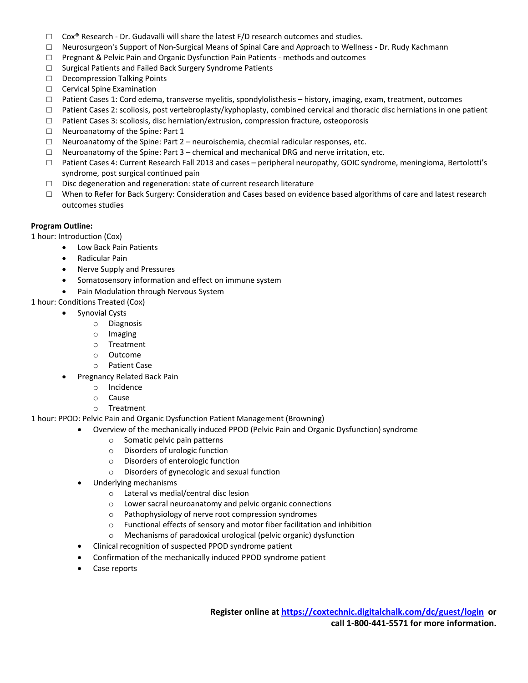- $\Box$  Cox<sup>®</sup> Research Dr. Gudavalli will share the latest F/D research outcomes and studies.
- □ Neurosurgeon's Support of Non‐Surgical Means of Spinal Care and Approach to Wellness ‐ Dr. Rudy Kachmann
- □ Pregnant & Pelvic Pain and Organic Dysfunction Pain Patients methods and outcomes
- □ Surgical Patients and Failed Back Surgery Syndrome Patients
- □ Decompression Talking Points
- □ Cervical Spine Examination
- □ Patient Cases 1: Cord edema, transverse myelitis, spondylolisthesis history, imaging, exam, treatment, outcomes
- □ Patient Cases 2: scoliosis, post vertebroplasty/kyphoplasty, combined cervical and thoracic disc herniations in one patient
- □ Patient Cases 3: scoliosis, disc herniation/extrusion, compression fracture, osteoporosis
- □ Neuroanatomy of the Spine: Part 1
- $\Box$  Neuroanatomy of the Spine: Part 2 neuroischemia, checmial radicular responses, etc.
- $\Box$  Neuroanatomy of the Spine: Part  $3$  chemical and mechanical DRG and nerve irritation, etc.
- □ Patient Cases 4: Current Research Fall 2013 and cases peripheral neuropathy, GOIC syndrome, meningioma, Bertolotti's syndrome, post surgical continued pain
- □ Disc degeneration and regeneration: state of current research literature
- □ When to Refer for Back Surgery: Consideration and Cases based on evidence based algorithms of care and latest research outcomes studies

### **Program Outline:**

1 hour: Introduction (Cox)

- Low Back Pain Patients
- Radicular Pain
- Nerve Supply and Pressures
- Somatosensory information and effect on immune system
- Pain Modulation through Nervous System

1 hour: Conditions Treated (Cox)

- Synovial Cysts
	- o Diagnosis
	- o Imaging
	- o Treatment
	- o Outcome
	- o Patient Case
- Pregnancy Related Back Pain
	- o Incidence
	- o Cause
	- o Treatment

1 hour: PPOD: Pelvic Pain and Organic Dysfunction Patient Management (Browning)

- Overview of the mechanically induced PPOD (Pelvic Pain and Organic Dysfunction) syndrome
	- o Somatic pelvic pain patterns
	- o Disorders of urologic function
	- o Disorders of enterologic function
	- o Disorders of gynecologic and sexual function
- Underlying mechanisms
	- o Lateral vs medial/central disc lesion
	- o Lower sacral neuroanatomy and pelvic organic connections
	- o Pathophysiology of nerve root compression syndromes
	- o Functional effects of sensory and motor fiber facilitation and inhibition
	- o Mechanisms of paradoxical urological (pelvic organic) dysfunction
- Clinical recognition of suspected PPOD syndrome patient
- Confirmation of the mechanically induced PPOD syndrome patient
- Case reports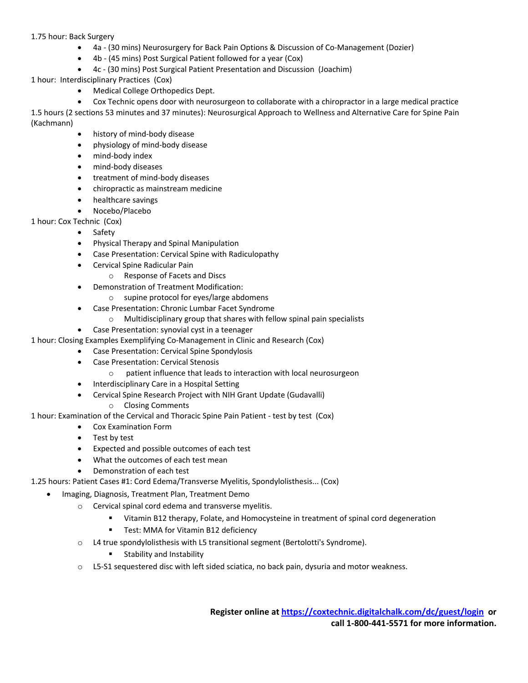# 1.75 hour: Back Surgery

- 4a (30 mins) Neurosurgery for Back Pain Options & Discussion of Co-Management (Dozier)
- 4b (45 mins) Post Surgical Patient followed for a year (Cox)
- 4c (30 mins) Post Surgical Patient Presentation and Discussion (Joachim)
- 1 hour: Interdisciplinary Practices (Cox)
	- Medical College Orthopedics Dept.

 Cox Technic opens door with neurosurgeon to collaborate with a chiropractor in a large medical practice 1.5 hours (2 sections 53 minutes and 37 minutes): Neurosurgical Approach to Wellness and Alternative Care for Spine Pain (Kachmann)

- history of mind‐body disease
- physiology of mind-body disease
- mind-body index
- mind-body diseases
- treatment of mind-body diseases
- chiropractic as mainstream medicine
- healthcare savings
- Nocebo/Placebo

1 hour: Cox Technic (Cox)

- Safety
- Physical Therapy and Spinal Manipulation
- Case Presentation: Cervical Spine with Radiculopathy
- Cervical Spine Radicular Pain
	- o Response of Facets and Discs
- Demonstration of Treatment Modification:
	- o supine protocol for eyes/large abdomens
- Case Presentation: Chronic Lumbar Facet Syndrome
	- o Multidisciplinary group that shares with fellow spinal pain specialists
- Case Presentation: synovial cyst in a teenager
- 1 hour: Closing Examples Exemplifying Co‐Management in Clinic and Research (Cox)
	- Case Presentation: Cervical Spine Spondylosis
	- Case Presentation: Cervical Stenosis
		- o patient influence that leads to interaction with local neurosurgeon
	- Interdisciplinary Care in a Hospital Setting
	- Cervical Spine Research Project with NIH Grant Update (Gudavalli)
		- o Closing Comments

1 hour: Examination of the Cervical and Thoracic Spine Pain Patient ‐ test by test (Cox)

- Cox Examination Form
- Test by test
- Expected and possible outcomes of each test
- What the outcomes of each test mean
- Demonstration of each test
- 1.25 hours: Patient Cases #1: Cord Edema/Transverse Myelitis, Spondylolisthesis... (Cox)
	- Imaging, Diagnosis, Treatment Plan, Treatment Demo
		- o Cervical spinal cord edema and transverse myelitis.
			- Vitamin B12 therapy, Folate, and Homocysteine in treatment of spinal cord degeneration
			- **Test: MMA for Vitamin B12 deficiency**
		- o L4 true spondylolisthesis with L5 transitional segment (Bertolotti's Syndrome).
			- Stability and Instability
		- o L5‐S1 sequestered disc with left sided sciatica, no back pain, dysuria and motor weakness.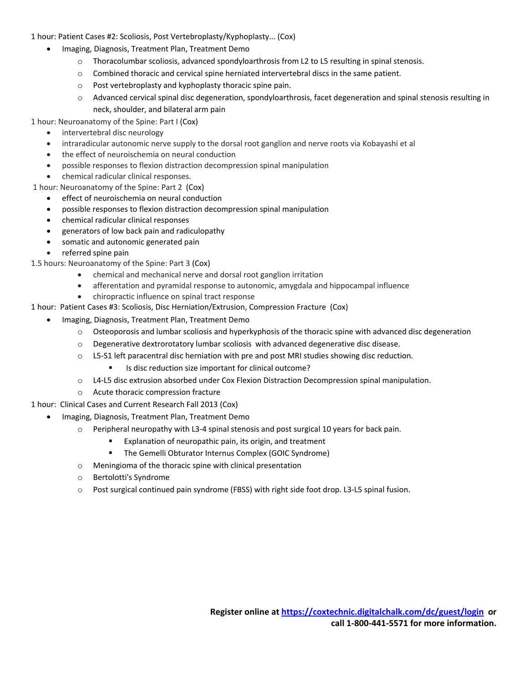1 hour: Patient Cases #2: Scoliosis, Post Vertebroplasty/Kyphoplasty... (Cox)

- Imaging, Diagnosis, Treatment Plan, Treatment Demo
	- o Thoracolumbar scoliosis, advanced spondyloarthrosis from L2 to L5 resulting in spinal stenosis.
	- $\circ$  Combined thoracic and cervical spine herniated intervertebral discs in the same patient.
	- o Post vertebroplasty and kyphoplasty thoracic spine pain.
	- o Advanced cervical spinal disc degeneration, spondyloarthrosis, facet degeneration and spinal stenosis resulting in neck, shoulder, and bilateral arm pain

1 hour: Neuroanatomy of the Spine: Part I (Cox)

- intervertebral disc neurology
- intraradicular autonomic nerve supply to the dorsal root ganglion and nerve roots via Kobayashi et al
- the effect of neuroischemia on neural conduction
- possible responses to flexion distraction decompression spinal manipulation
- chemical radicular clinical responses.

1 hour: Neuroanatomy of the Spine: Part 2 (Cox)

- effect of neuroischemia on neural conduction
- possible responses to flexion distraction decompression spinal manipulation
- chemical radicular clinical responses
- generators of low back pain and radiculopathy
- somatic and autonomic generated pain
- referred spine pain
- 1.5 hours: Neuroanatomy of the Spine: Part 3 (Cox)
	- chemical and mechanical nerve and dorsal root ganglion irritation
	- afferentation and pyramidal response to autonomic, amygdala and hippocampal influence
	- chiropractic influence on spinal tract response

1 hour: Patient Cases #3: Scoliosis, Disc Herniation/Extrusion, Compression Fracture (Cox)

- Imaging, Diagnosis, Treatment Plan, Treatment Demo
	- o Osteoporosis and lumbar scoliosis and hyperkyphosis of the thoracic spine with advanced disc degeneration
	- $\circ$  Degenerative dextrorotatory lumbar scoliosis with advanced degenerative disc disease.
	- o L5‐S1 left paracentral disc herniation with pre and post MRI studies showing disc reduction.
		- Is disc reduction size important for clinical outcome?
	- o L4‐L5 disc extrusion absorbed under Cox Flexion Distraction Decompression spinal manipulation.
	- o Acute thoracic compression fracture

1 hour: Clinical Cases and Current Research Fall 2013 (Cox)

- Imaging, Diagnosis, Treatment Plan, Treatment Demo
	- o Peripheral neuropathy with L3‐4 spinal stenosis and post surgical 10 years for back pain.
		- **Explanation of neuropathic pain, its origin, and treatment**
		- **The Gemelli Obturator Internus Complex (GOIC Syndrome)**
	- o Meningioma of the thoracic spine with clinical presentation
	- o Bertolotti's Syndrome
	- o Post surgical continued pain syndrome (FBSS) with right side foot drop. L3‐L5 spinal fusion.